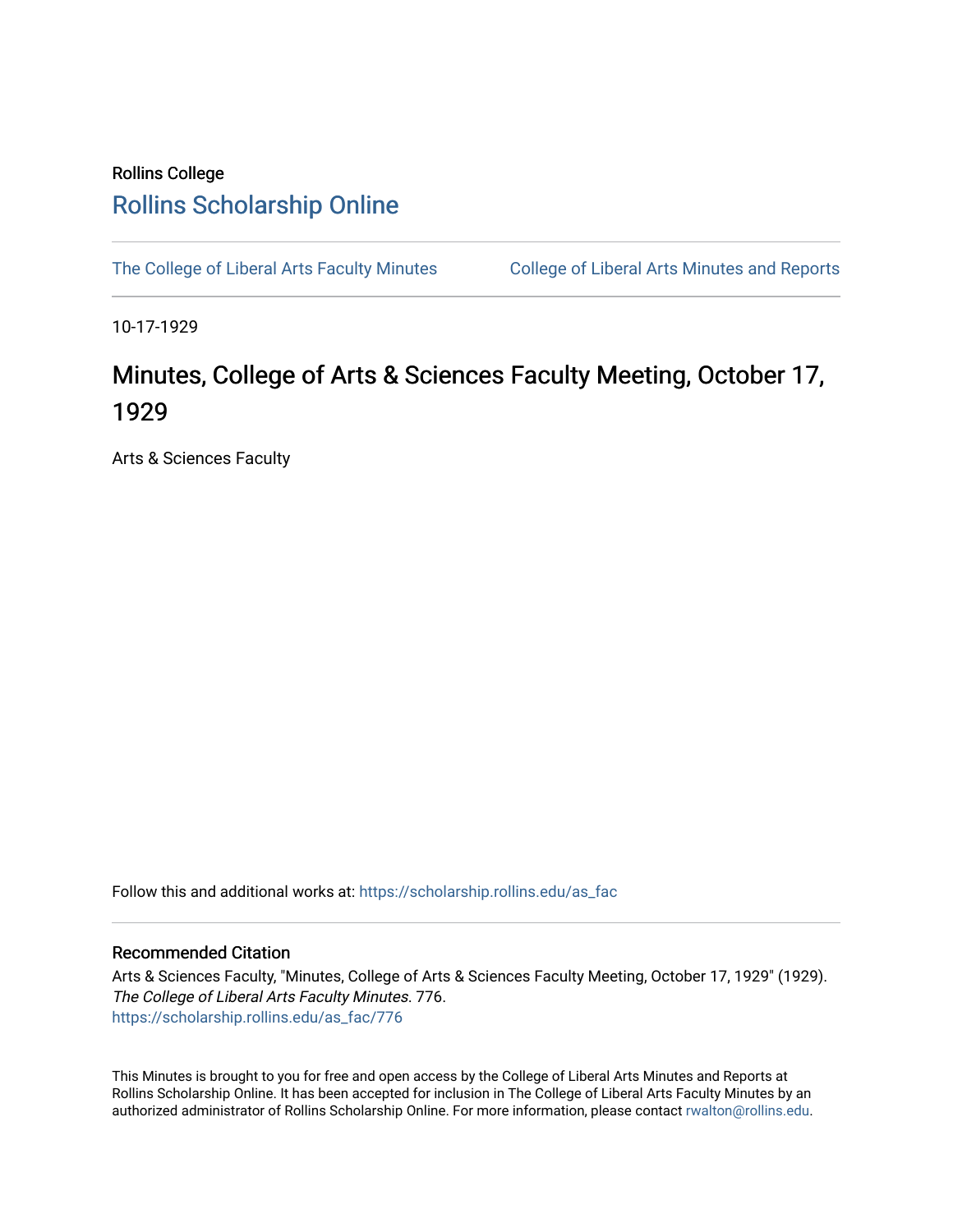## Rollins College [Rollins Scholarship Online](https://scholarship.rollins.edu/)

[The College of Liberal Arts Faculty Minutes](https://scholarship.rollins.edu/as_fac) College of Liberal Arts Minutes and Reports

10-17-1929

## Minutes, College of Arts & Sciences Faculty Meeting, October 17, 1929

Arts & Sciences Faculty

Follow this and additional works at: [https://scholarship.rollins.edu/as\\_fac](https://scholarship.rollins.edu/as_fac?utm_source=scholarship.rollins.edu%2Fas_fac%2F776&utm_medium=PDF&utm_campaign=PDFCoverPages) 

## Recommended Citation

Arts & Sciences Faculty, "Minutes, College of Arts & Sciences Faculty Meeting, October 17, 1929" (1929). The College of Liberal Arts Faculty Minutes. 776. [https://scholarship.rollins.edu/as\\_fac/776](https://scholarship.rollins.edu/as_fac/776?utm_source=scholarship.rollins.edu%2Fas_fac%2F776&utm_medium=PDF&utm_campaign=PDFCoverPages) 

This Minutes is brought to you for free and open access by the College of Liberal Arts Minutes and Reports at Rollins Scholarship Online. It has been accepted for inclusion in The College of Liberal Arts Faculty Minutes by an authorized administrator of Rollins Scholarship Online. For more information, please contact [rwalton@rollins.edu](mailto:rwalton@rollins.edu).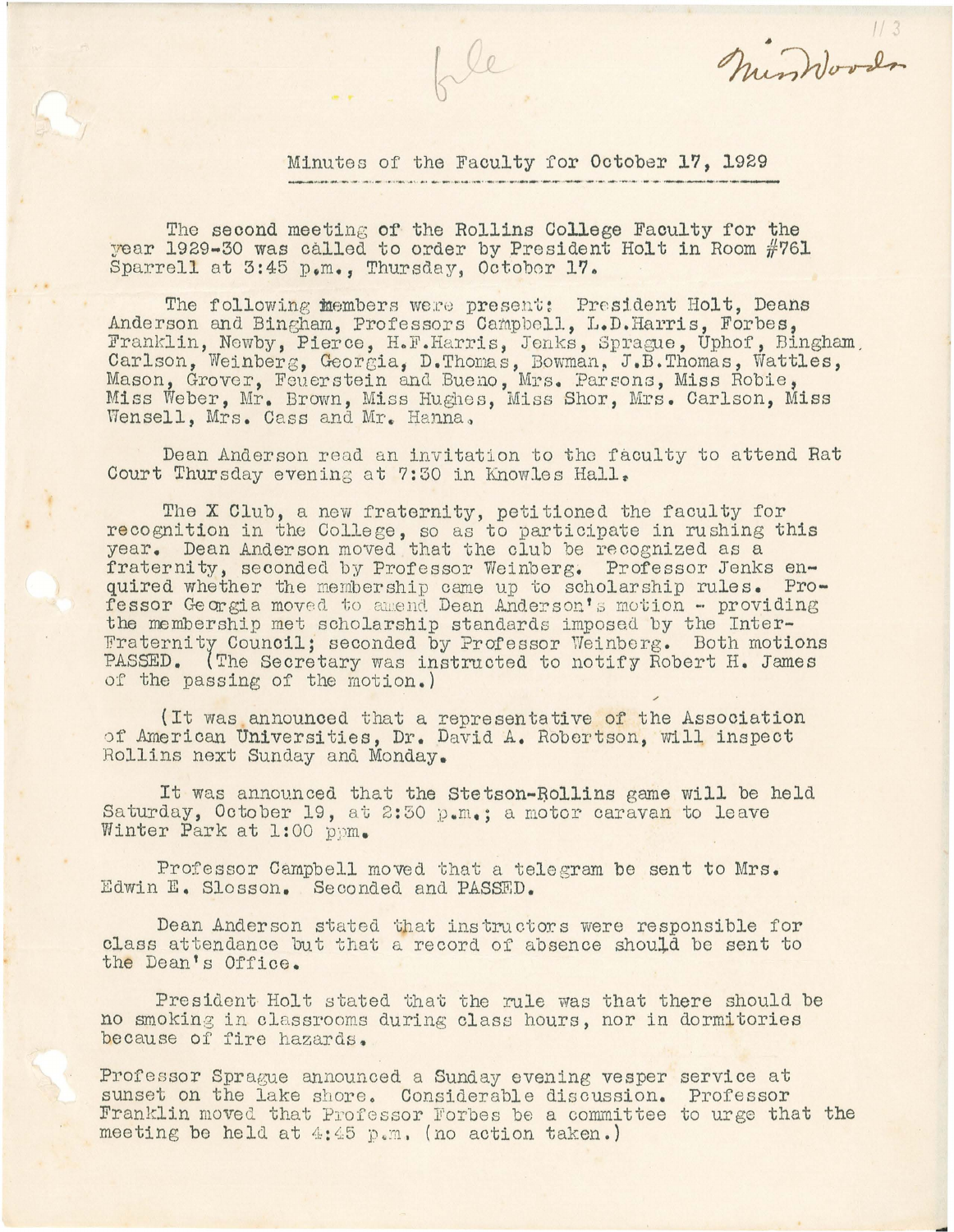Minutes of the Faculty for October **1?,** 1929

mindova

The second meeting **of** the Rollins College Faculty for the year 1929-30 was called to order by President Holt in Room #761 Sparrell at 3:45 p.m., Thursday, Octobor 17.

The following members were present: President Holt, Deans Anderson and Bingham, Professors Campbell, L.D.Harris, Forbes, Franklin, Newby, Pierce, H.F.Harris, Jenks, Sprague, Uphof, Bingham Carlson, Weinberg, Georgia, D.Thomas, Bowman, J.B.Thomas, Wattles, Mason, Grover, Feuerstein and Bueno, Mrs. Parsons, Miss Robie, Miss Weber, Mr. Brown, Miss Hughes, Miss Shor, Mrs. Carlson, Miss Wensell, Mrs. Cass and Mr. Hanna,

Dean Anderson read an invitation to the faculty to attend Rat Court Thursday evening at 7:30 in Knowles Hall.

The **X** Club, a new fraternity, petitioned the faculty for recognition in the Colle ge, so as to participate in rushing this year. Dean Anderson moved that the club be recognized as a fraternity, seconded by Professor Weinberg. Professor Jenks enquired whether the membership came up to scholarship rules. Professor Georgia moved to amend Dean Anderson's motion - providing the membership met scholarship standards imposed by the Inter-Fraternity Council; seconded by Professor Weinberg. Both motions PASSED. {The Secretary was instructed to notify Robert H. James of the passing of the motion. )

(It was announced that a representative of the Association of American Universities, Dr. David A. Robertson, will inspect Rollins next Sunday and Monday.

It was announced that the Stetson-Bollins game will be held Saturday, October 19, at 2:30 p.m.; a motor caravan to leave Winter Park at 1:00 ppm.

Professor Campbell moved that a telegram be sent to Mrs. Edwin E. Slosson. Seconded and PASSED.

Dean Anderson stated that instructors were responsible for class attendance but that a record of absence should be sent to the Dean's Office.

President Holt stated that the rule was that there should be no smoking in classrooms during class hours, nor in dormitories because of fire hazards.

Professor Sprague announced a Sunday evening vesper service at sunset on the lake shore. Considerable discussion. Professor Franklin moved that Professor Forbes be a committee to urge that the meeting be held at  $4:45$  p.m. (no action taken.)